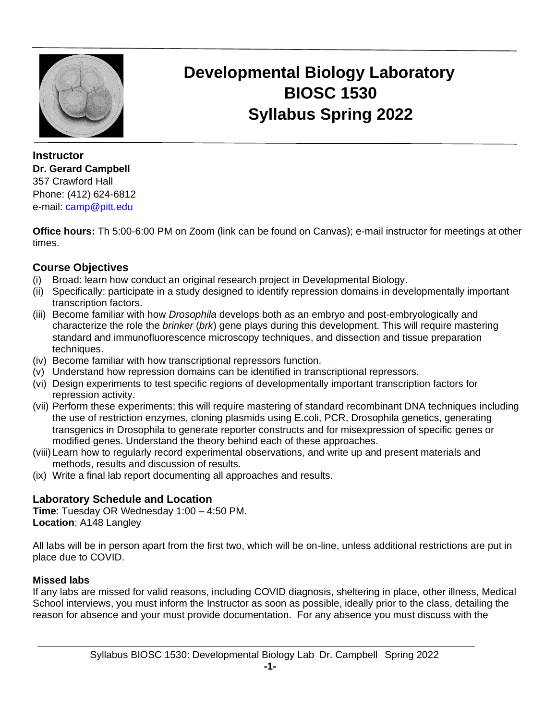

# **Developmental Biology Laboratory BIOSC 1530 Syllabus Spring 2022**

**Instructor Dr. Gerard Campbell** 357 Crawford Hall Phone: (412) 624-6812 e-mail: camp@pitt.edu

**Office hours:** Th 5:00-6:00 PM on Zoom (link can be found on Canvas); e-mail instructor for meetings at other times.

# **Course Objectives**

- (i) Broad: learn how conduct an original research project in Developmental Biology.
- (ii) Specifically: participate in a study designed to identify repression domains in developmentally important transcription factors.
- (iii) Become familiar with how *Drosophila* develops both as an embryo and post-embryologically and characterize the role the *brinker* (*brk*) gene plays during this development. This will require mastering standard and immunofluorescence microscopy techniques, and dissection and tissue preparation techniques.
- (iv) Become familiar with how transcriptional repressors function.
- (v) Understand how repression domains can be identified in transcriptional repressors.
- (vi) Design experiments to test specific regions of developmentally important transcription factors for repression activity.
- (vii) Perform these experiments; this will require mastering of standard recombinant DNA techniques including the use of restriction enzymes, cloning plasmids using E.coli, PCR, Drosophila genetics, generating transgenics in Drosophila to generate reporter constructs and for misexpression of specific genes or modified genes. Understand the theory behind each of these approaches.
- (viii) Learn how to regularly record experimental observations, and write up and present materials and methods, results and discussion of results.
- (ix) Write a final lab report documenting all approaches and results.

# **Laboratory Schedule and Location**

**Time**: Tuesday OR Wednesday 1:00 – 4:50 PM. **Location**: A148 Langley

All labs will be in person apart from the first two, which will be on-line, unless additional restrictions are put in place due to COVID.

## **Missed labs**

If any labs are missed for valid reasons, including COVID diagnosis, sheltering in place, other illness, Medical School interviews, you must inform the Instructor as soon as possible, ideally prior to the class, detailing the reason for absence and your must provide documentation. For any absence you must discuss with the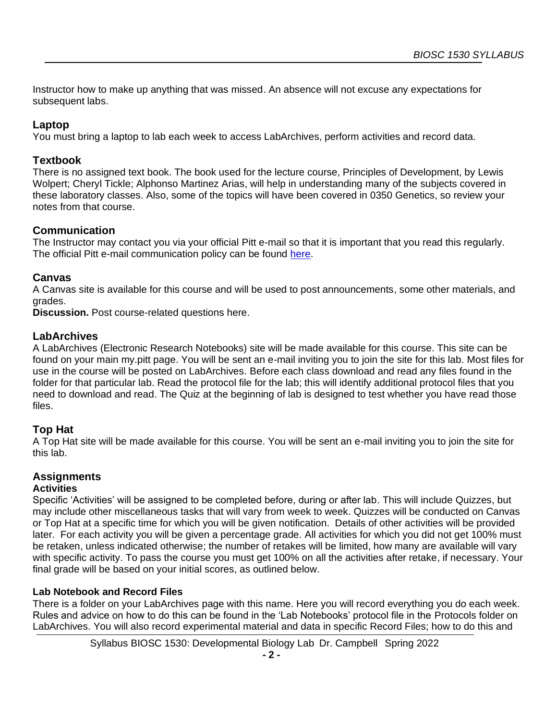Instructor how to make up anything that was missed. An absence will not excuse any expectations for subsequent labs.

# **Laptop**

You must bring a laptop to lab each week to access LabArchives, perform activities and record data.

# **Textbook**

There is no assigned text book. The book used for the lecture course, Principles of Development, by Lewis Wolpert; Cheryl Tickle; Alphonso Martinez Arias, will help in understanding many of the subjects covered in these laboratory classes. Also, some of the topics will have been covered in 0350 Genetics, so review your notes from that course.

# **Communication**

The Instructor may contact you via your official Pitt e-mail so that it is important that you read this regularly. The official Pitt e-mail communication policy can be found [here.](https://www.as.pitt.edu/e-mail-communication-statement-syllabi#:~:text=Each%20student%20is%20issued%20a,pitt.edu)%20upon%20admittance.&text=If%20e%2Dmail%20is%20lost,their%20University%20e%2Dmail%20address.)

# **Canvas**

A Canvas site is available for this course and will be used to post announcements, some other materials, and grades.

**Discussion.** Post course-related questions here.

# **LabArchives**

A LabArchives (Electronic Research Notebooks) site will be made available for this course. This site can be found on your main my.pitt page. You will be sent an e-mail inviting you to join the site for this lab. Most files for use in the course will be posted on LabArchives. Before each class download and read any files found in the folder for that particular lab. Read the protocol file for the lab; this will identify additional protocol files that you need to download and read. The Quiz at the beginning of lab is designed to test whether you have read those files.

# **Top Hat**

A Top Hat site will be made available for this course. You will be sent an e-mail inviting you to join the site for this lab.

# **Assignments**

## **Activities**

Specific 'Activities' will be assigned to be completed before, during or after lab. This will include Quizzes, but may include other miscellaneous tasks that will vary from week to week. Quizzes will be conducted on Canvas or Top Hat at a specific time for which you will be given notification. Details of other activities will be provided later. For each activity you will be given a percentage grade. All activities for which you did not get 100% must be retaken, unless indicated otherwise; the number of retakes will be limited, how many are available will vary with specific activity. To pass the course you must get 100% on all the activities after retake, if necessary. Your final grade will be based on your initial scores, as outlined below.

## **Lab Notebook and Record Files**

There is a folder on your LabArchives page with this name. Here you will record everything you do each week. Rules and advice on how to do this can be found in the 'Lab Notebooks' protocol file in the Protocols folder on LabArchives. You will also record experimental material and data in specific Record Files; how to do this and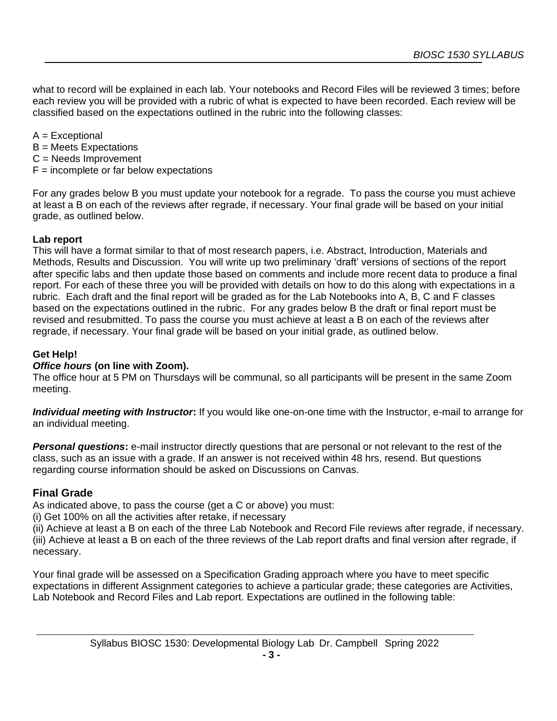what to record will be explained in each lab. Your notebooks and Record Files will be reviewed 3 times; before each review you will be provided with a rubric of what is expected to have been recorded. Each review will be classified based on the expectations outlined in the rubric into the following classes:

- A = Exceptional
- B = Meets Expectations
- C = Needs Improvement
- $F =$  incomplete or far below expectations

For any grades below B you must update your notebook for a regrade. To pass the course you must achieve at least a B on each of the reviews after regrade, if necessary. Your final grade will be based on your initial grade, as outlined below.

#### **Lab report**

This will have a format similar to that of most research papers, i.e. Abstract, Introduction, Materials and Methods, Results and Discussion. You will write up two preliminary 'draft' versions of sections of the report after specific labs and then update those based on comments and include more recent data to produce a final report. For each of these three you will be provided with details on how to do this along with expectations in a rubric. Each draft and the final report will be graded as for the Lab Notebooks into A, B, C and F classes based on the expectations outlined in the rubric. For any grades below B the draft or final report must be revised and resubmitted. To pass the course you must achieve at least a B on each of the reviews after regrade, if necessary. Your final grade will be based on your initial grade, as outlined below.

#### **Get Help!**

#### *Office hours* **(on line with Zoom).**

The office hour at 5 PM on Thursdays will be communal, so all participants will be present in the same Zoom meeting.

*Individual meeting with Instructor***:** If you would like one-on-one time with the Instructor, e-mail to arrange for an individual meeting.

*Personal questions***:** e-mail instructor directly questions that are personal or not relevant to the rest of the class, such as an issue with a grade. If an answer is not received within 48 hrs, resend. But questions regarding course information should be asked on Discussions on Canvas.

## **Final Grade**

As indicated above, to pass the course (get a C or above) you must:

(i) Get 100% on all the activities after retake, if necessary

(ii) Achieve at least a B on each of the three Lab Notebook and Record File reviews after regrade, if necessary. (iii) Achieve at least a B on each of the three reviews of the Lab report drafts and final version after regrade, if necessary.

Your final grade will be assessed on a Specification Grading approach where you have to meet specific expectations in different Assignment categories to achieve a particular grade; these categories are Activities, Lab Notebook and Record Files and Lab report. Expectations are outlined in the following table: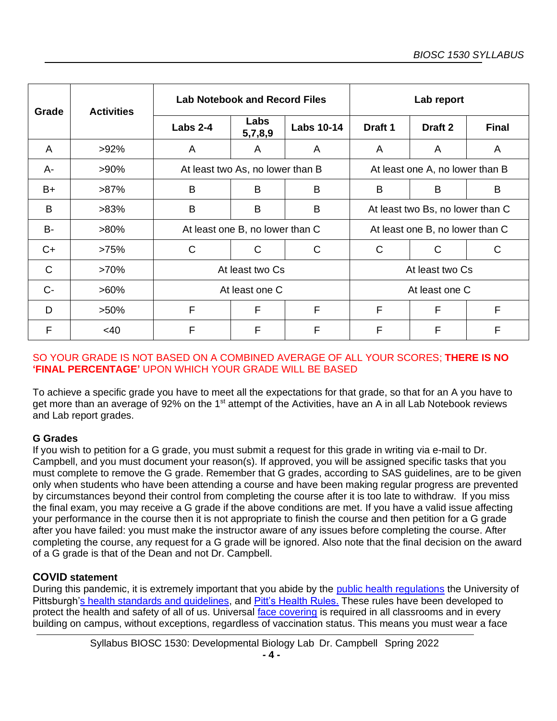| Grade        | <b>Activities</b> | <b>Lab Notebook and Record Files</b> |                 |                   | Lab report                       |                    |              |
|--------------|-------------------|--------------------------------------|-----------------|-------------------|----------------------------------|--------------------|--------------|
|              |                   | Labs 2-4                             | Labs<br>5,7,8,9 | <b>Labs 10-14</b> | Draft <sub>1</sub>               | Draft <sub>2</sub> | <b>Final</b> |
| A            | $>92\%$           | A                                    | A               | A                 | A                                | A                  | A            |
| A-           | $>90\%$           | At least two As, no lower than B     |                 |                   | At least one A, no lower than B  |                    |              |
| B+           | $>87\%$           | B                                    | B               | B                 | B                                | B                  | B            |
| B            | $>83\%$           | B                                    | B               | B                 | At least two Bs, no lower than C |                    |              |
| B-           | $>80\%$           | At least one B, no lower than C      |                 |                   | At least one B, no lower than C  |                    |              |
| C+           | >75%              | C                                    | C               | $\mathsf{C}$      | C                                | C                  | C            |
| $\mathsf{C}$ | $>70\%$           | At least two Cs                      |                 |                   | At least two Cs                  |                    |              |
| $C -$        | $>60\%$           | At least one C                       |                 |                   | At least one C                   |                    |              |
| D            | $>50\%$           | F                                    | F               | F                 | F                                | F                  | F            |
| F            | <40               | F                                    | F               | F                 | F                                | F                  | F            |

#### SO YOUR GRADE IS NOT BASED ON A COMBINED AVERAGE OF ALL YOUR SCORES; **THERE IS NO 'FINAL PERCENTAGE'** UPON WHICH YOUR GRADE WILL BE BASED

To achieve a specific grade you have to meet all the expectations for that grade, so that for an A you have to get more than an average of 92% on the 1<sup>st</sup> attempt of the Activities, have an A in all Lab Notebook reviews and Lab report grades.

## **G Grades**

If you wish to petition for a G grade, you must submit a request for this grade in writing via e-mail to Dr. Campbell, and you must document your reason(s). If approved, you will be assigned specific tasks that you must complete to remove the G grade. Remember that G grades, according to SAS guidelines, are to be given only when students who have been attending a course and have been making regular progress are prevented by circumstances beyond their control from completing the course after it is too late to withdraw. If you miss the final exam, you may receive a G grade if the above conditions are met. If you have a valid issue affecting your performance in the course then it is not appropriate to finish the course and then petition for a G grade after you have failed: you must make the instructor aware of any issues before completing the course. After completing the course, any request for a G grade will be ignored. Also note that the final decision on the award of a G grade is that of the Dean and not Dr. Campbell.

# **COVID statement**

During this pandemic, it is extremely important that you abide by the [public health regulations](https://www.alleghenycounty.us/Health-Department/Resources/COVID-19/COVID-19.aspx) the University of Pittsburgh['s health standards and guidelines,](https://www.policy.pitt.edu/university-policies-and-procedures/covid-19-standards-and-guidelines) and [Pitt's Health Rules.](https://www.coronavirus.pitt.edu/healthy-community/pitts-health-rules) These rules have been developed to protect the health and safety of all of us. Universal [face covering](https://www.coronavirus.pitt.edu/frequently-asked-questions-about-face-coverings) is required in all classrooms and in every building on campus, without exceptions, regardless of vaccination status. This means you must wear a face